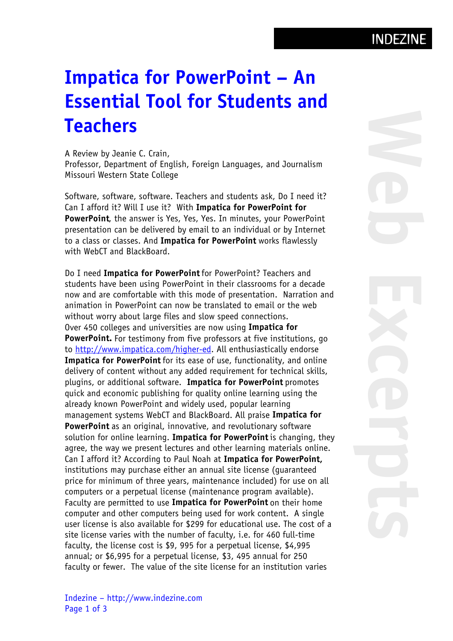## Impatica for PowerPoint – An Essential Tool for Students and **Teachers**

A Review by Jeanie C. Crain, Professor, Department of English, Foreign Languages, and Journalism Missouri Western State College

Software, software, software. Teachers and students ask, Do I need it? Can I afford it? Will I use it? With Impatica for PowerPoint for PowerPoint, the answer is Yes, Yes, Yes. In minutes, your PowerPoint presentation can be delivered by email to an individual or by Internet to a class or classes. And Impatica for PowerPoint works flawlessly with WebCT and BlackBoard.

Do I need Impatica for PowerPoint for PowerPoint? Teachers and students have been using PowerPoint in their classrooms for a decade now and are comfortable with this mode of presentation. Narration and animation in PowerPoint can now be translated to email or the web without worry about large files and slow speed connections. Over 450 colleges and universities are now using Impatica for PowerPoint. For testimony from five professors at five institutions, go to<http://www.impatica.com/higher-ed>. All enthusiastically endorse Impatica for PowerPoint for its ease of use, functionality, and online delivery of content without any added requirement for technical skills, plugins, or additional software. Impatica for PowerPoint promotes quick and economic publishing for quality online learning using the already known PowerPoint and widely used, popular learning management systems WebCT and BlackBoard. All praise Impatica for PowerPoint as an original, innovative, and revolutionary software solution for online learning. Impatica for PowerPoint is changing, they agree, the way we present lectures and other learning materials online. Can I afford it? According to Paul Noah at Impatica for PowerPoint, institutions may purchase either an annual site license (guaranteed price for minimum of three years, maintenance included) for use on all computers or a perpetual license (maintenance program available). Faculty are permitted to use Impatica for PowerPoint on their home computer and other computers being used for work content. A single user license is also available for \$299 for educational use. The cost of a site license varies with the number of faculty, i.e. for 460 full-time faculty, the license cost is \$9, 995 for a perpetual license, \$4,995 annual; or \$6,995 for a perpetual license, \$3, 495 annual for 250 faculty or fewer. The value of the site license for an institution varies

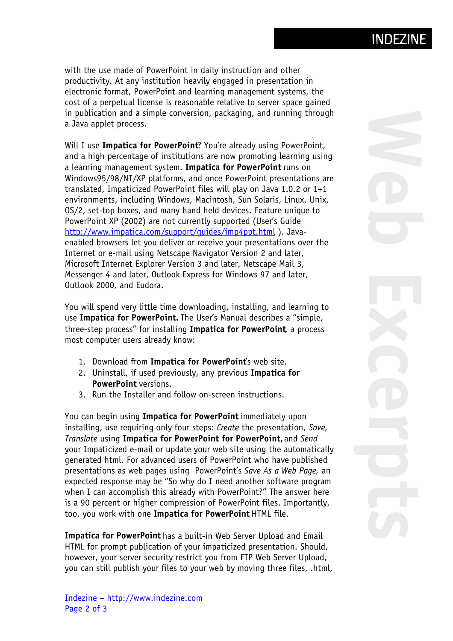with the use made of PowerPoint in daily instruction and other productivity. At any institution heavily engaged in presentation in electronic format, PowerPoint and learning management systems, the cost of a perpetual license is reasonable relative to server space gained in publication and a simple conversion, packaging, and running through a Java applet process.

Will I use Impatica for PowerPoint? You're already using PowerPoint, and a high percentage of institutions are now promoting learning using a learning management system. Impatica for PowerPoint runs on Windows95/98/NT/XP platforms, and once PowerPoint presentations are translated, Impaticized PowerPoint files will play on Java 1.0.2 or 1+1 environments, including Windows, Macintosh, Sun Solaris, Linux, Unix, OS/2, set-top boxes, and many hand held devices. Feature unique to PowerPoint XP (2002) are not currently supported (User's Guide <http://www.impatica.com/support/guides/imp4ppt.html>). Javaenabled browsers let you deliver or receive your presentations over the Internet or e-mail using Netscape Navigator Version 2 and later, Microsoft Internet Explorer Version 3 and later, Netscape Mail 3, Messenger 4 and later, Outlook Express for Windows 97 and later, Outlook 2000, and Eudora.

You will spend very little time downloading, installing, and learning to use Impatica for PowerPoint. The User's Manual describes a "simple, three-step process" for installing Impatica for PowerPoint, a process most computer users already know:

- 1. Download from Impatica for PowerPoint's web site.
- 2. Uninstall, if used previously, any previous Impatica for PowerPoint versions.
- 3. Run the Installer and follow on-screen instructions.

You can begin using Impatica for PowerPoint immediately upon installing, use requiring only four steps: Create the presentation, Save, Translate using Impatica for PowerPoint for PowerPoint, and Send your Impaticized e-mail or update your web site using the automatically generated html. For advanced users of PowerPoint who have published presentations as web pages using PowerPoint's Save As a Web Page, an expected response may be "So why do I need another software program when I can accomplish this already with PowerPoint?" The answer here is a 90 percent or higher compression of PowerPoint files. Importantly, too, you work with one Impatica for PowerPoint HTML file.

Impatica for PowerPoint has a built-in Web Server Upload and Email HTML for prompt publication of your impaticized presentation. Should, however, your server security restrict you from FTP Web Server Upload, you can still publish your files to your web by moving three files, .html,